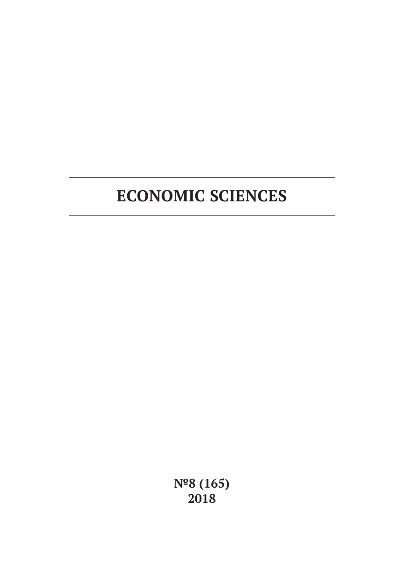# **ECONOMIC SCIENCES**

**№8 (165) 2018**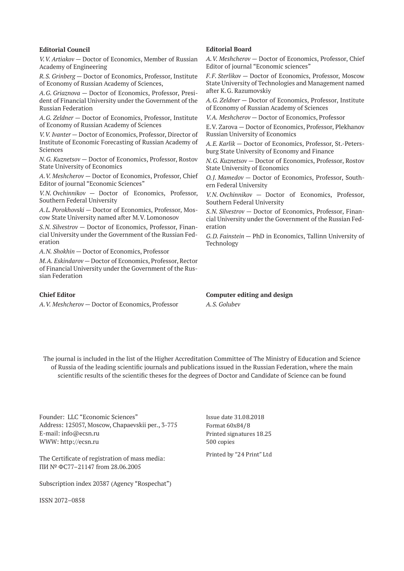#### **Editorial Council**

*V.V. Artiakov* — Doctor of Economics, Member of Russian Academy of Engineering

*R.S. Grinberg* — Doctor of Economics, Professor, Institute of Economy of Russian Academy of Sciences,

*A.G. Griaznova* — Doctor of Economics, Professor, President of Financial University under the Government of the Russian Federation

*A.G. Zeldner* — Doctor of Economics, Professor, Institute of Economy of Russian Academy of Sciences

*V.V. Ivanter* — Doctor of Economics, Professor, Director of Institute of Economic Forecasting of Russian Academy of Sciences

*N.G. Kuznetsov* — Doctor of Economics, Professor, Rostov State University of Economics

*A.V. Meshcherov* — Doctor of Economics, Professor, Chief Editor of journal "Economic Sciences"

*V.N. Ovchinnikov* — Doctor of Economics, Professor, Southern Federal University

*A.L. Porokhovski* — Doctor of Economics, Professor, Moscow State University named after M.V. Lomonosov

*S.N. Silvestrov* — Doctor of Economics, Professor, Financial University under the Government of the Russian Federation

*A.N. Shokhin* — Doctor of Economics, Professor

*M.A. Eskindarov* — Doctor of Economics, Professor, Rector of Financial University under the Government of the Russian Federation

#### **Chief Editor**

*A.V. Meshcherov* — Doctor of Economics, Professor

#### **Editorial Board**

*A.V. Meshcherov* — Doctor of Economics, Professor, Chief Editor of journal "Economic sciences"

*F.F. Sterlikov* — Doctor of Economics, Professor, Moscow State University of Technologies and Management named after K.G. Razumovskiy

*A.G. Zeldner* — Doctor of Economics, Professor, Institute of Economy of Russian Academy of Sciences

*V.A. Meshcherov* — Doctor of Economics, Professor

E.V. Zarova — Doctor of Economics, Professor, Plekhanov Russian University of Economics

*A.E. Karlik* — Doctor of Economics, Professor, St.-Petersburg State University of Economy and Finance

*N.G. Kuznetsov* — Doctor of Economics, Professor, Rostov State University of Economics

*O.J. Mamedov* — Doctor of Economics, Professor, Southern Federal University

*V.N. Ovchinnikov* — Doctor of Economics, Professor, Southern Federal University

*S.N. Silvestrov* — Doctor of Economics, Professor, Financial University under the Government of the Russian Federation

*G.D. Fainstein* — PhD in Economics, Tallinn University of Technology

**Computer editing and design** *A.S. Golubev*

The journal is included in the list of the Higher Accreditation Committee of The Ministry of Education and Science of Russia of the leading scientific journals and publications issued in the Russian Federation, where the main scientific results of the scientific theses for the degrees of Doctor and Candidate of Science can be found

Founder: LLC "Economic Sciences" Address: 125057, Moscow, Chapaevskii per., 3-775 E-mail: info@ecsn.ru WWW: http://ecsn.ru

The Certificate of registration of mass media: ПИ № ФС77–21147 from 28.06.2005

Subscription index 20387 (Agency "Rospechat")

ISSN 2072–0858

Issue date 31.08.2018 Format 60х84/8 Printed signatures 18.25 500 copies

Printed by "24 Print" Ltd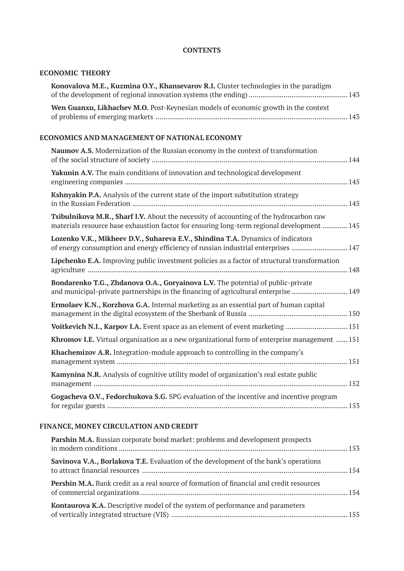## **CONTENTS**

#### **ECONOMIC THEORY**

| Wen Guanxu, Likhachev M.O. Post-Keynesian models of economic growth in the context |
|------------------------------------------------------------------------------------|

## **ECONOMICS AND MANAGEMENT OF NATIONAL ECONOMY**

| Naumov A.S. Modernization of the Russian economy in the context of transformation                                                                                                    |
|--------------------------------------------------------------------------------------------------------------------------------------------------------------------------------------|
| <b>Yakunin A.V.</b> The main conditions of innovation and technological development                                                                                                  |
| Kshnyakin P.A. Analysis of the current state of the import substitution strategy                                                                                                     |
| Tsibulnikova M.R., Sharf I.V. About the necessity of accounting of the hydrocarbon raw<br>materials resource base exhaustion factor for ensuring long-term regional development  145 |
| Lozenko V.K., Mikheev D.V., Suhareva E.V., Shindina T.A. Dynamics of indicators<br>of energy consumption and energy efficiency of russian industrial enterprises  147                |
| Lipchenko E.A. Improving public investment policies as a factor of structural transformation                                                                                         |
| Bondarenko T.G., Zhdanova O.A., Goryainova L.V. The potential of public-private<br>and municipal-private partnerships in the financing of agricultural enterprise  149               |
| Ermolaev K.N., Korzhova G.A. Internal marketing as an essential part of human capital                                                                                                |
| Voitkevich N.I., Karpov I.A. Event space as an element of event marketing  151                                                                                                       |
| Khromov I.E. Virtual organization as a new organizational form of enterprise management  151                                                                                         |
| Khachemizov A.R. Integration-module approach to controlling in the company's                                                                                                         |
| <b>Kamynina N.R.</b> Analysis of cognitive utility model of organization's real estate public                                                                                        |
| Gogacheva O.V., Fedorchukova S.G. SPG evaluation of the incentive and incentive program                                                                                              |

# **FINANCE, MONEY CIRCULATION AND CREDIT**

| Parshin M.A. Russian corporate bond market: problems and development prospects                  |  |
|-------------------------------------------------------------------------------------------------|--|
| <b>Savinova V.A., Borlakova T.E.</b> Evaluation of the development of the bank's operations     |  |
| <b>Pershin M.A.</b> Bank credit as a real source of formation of financial and credit resources |  |
| Kontaurova K.A. Descriptive model of the system of performance and parameters                   |  |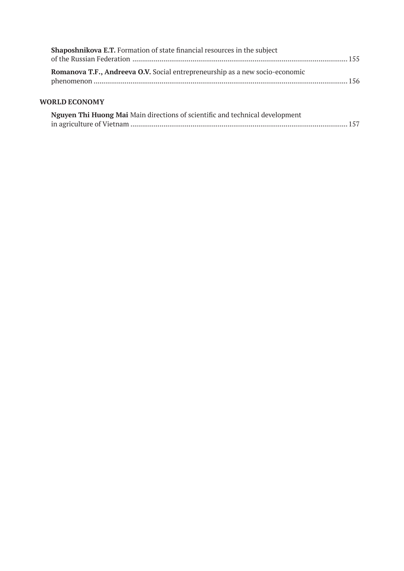| Shaposhnikova E.T. Formation of state financial resources in the subject     |  |
|------------------------------------------------------------------------------|--|
| Romanova T.F., Andreeva O.V. Social entrepreneurship as a new socio-economic |  |
| <b>WORLD ECONOMY</b>                                                         |  |

| Nguyen Thi Huong Mai Main directions of scientific and technical development |  |
|------------------------------------------------------------------------------|--|
|                                                                              |  |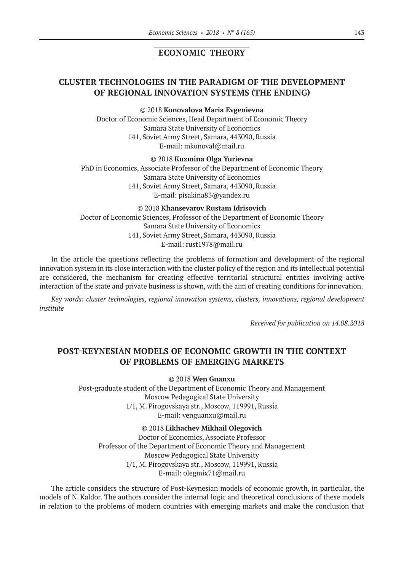# **ECONOMIC THEORY**

# **CLUSTER TECHNOLOGIES IN THE PARADIGM OF THE DEVELOPMENT OF REGIONAL INNOVATION SYSTEMS (THE ENDING)**

©© 2018 **Konovalova Maria Evgenievna**

Doctor of Economic Sciences, Head Department of Economic Theory Samara State University of Economics 141, Soviet Army Street, Samara, 443090, Russia E‑mail: mkonoval@mail.ru

©© 2018 **Kuzmina Olga Yurievna**

PhD in Economics, Associate Professor of the Department of Economic Theory Samara State University of Economics 141, Soviet Army Street, Samara, 443090, Russia E‑mail: pisakina83@yandex.ru

©© 2018 **Khansevarov Rustam Idrisovich** Doctor of Economic Sciences, Professor of the Department of Economic Theory Samara State University of Economics 141, Soviet Army Street, Samara, 443090, Russia E‑mail: rust1978@mail.ru

In the article the questions reflecting the problems of formation and development of the regional innovation system in its close interaction with the cluster policy of the region and its intellectual potential are considered, the mechanism for creating effective territorial structural entities involving active interaction of the state and private business is shown, with the aim of creating conditions for innovation.

*Key words: cluster technologies, regional innovation systems, clusters, innovations, regional development institute*

*Received for publication on 14.08.2018*

## **POST-KEYNESIAN MODELS OF ECONOMIC GROWTH IN THE CONTEXT OF PROBLEMS OF EMERGING MARKETS**

©© 2018 **Wen Guanxu**

Post-graduate student of the Department of Economic Theory and Management Moscow Pedagogical State University 1/1, M. Pirogovskaya str., Moscow, 119991, Russia E‑mail: venguanxu@mail.ru

©© 2018 **Likhachev Mikhail Olegovich** Doctor of Economics, Associate Professor Professor of the Department of Economic Theory and Management Moscow Pedagogical State University 1/1, M. Pirogovskaya str., Moscow, 119991, Russia E‑mail: olegmix71@mail.ru

The article considers the structure of Post-Keynesian models of economic growth, in particular, the models of N. Kaldor. The authors consider the internal logic and theoretical conclusions of these models in relation to the problems of modern countries with emerging markets and make the conclusion that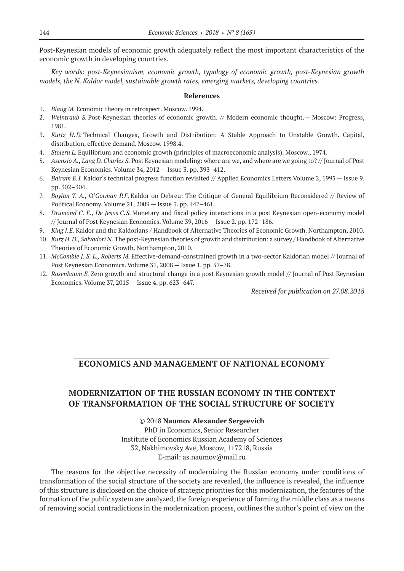Post-Keynesian models of economic growth adequately reflect the most important characteristics of the economic growth in developing countries.

*Key words: post-Keynesianism, economic growth, typology of economic growth, post-Keynesian growth models, the N. Kaldor model, sustainable growth rates, emerging markets, developing countries.*

#### **References**

- 1. *Blaug M.* Economic theory in retrospect. Мoscow. 1994.
- 2. *Weintraub S.* Post-Keynesian theories of economic growth. // Modern economic thought.— Moscow: Progress, 1981.
- 3. *Kurtz H.D.* Technical Changes, Growth and Distribution: A Stable Approach to Unstable Growth. Capital, distribution, effective demand. Мoscow. 1998.4.
- 4. *Stoleru L.* Equilibrium and economic growth (principles of macroeconomic analysis). Мoscow., 1974.
- 5. *Asensio A., Lang D. Charles S.* Post Keynesian modeling: where are we, and where are we going to? // Journal of Post Keynesian Economics. Volume 34, 2012 — Issue 3. pp. 393–412.
- 6. *Bairam E.I.* Kaldor's technical progress function revisited // Applied Economics Letters Volume 2, 1995 Issue 9. pp. 302–304.
- 7. *Boylan T. A.,* O'*Gorman P.F.* Kaldor on Debreu: The Critique of General Equilibrium Reconsidered // Review of Political Economy. Volume 21, 2009 — Issue 3. pp. 447–461.
- 8. *Drumond C. E., De Jesus C.S.* Monetary and fiscal policy interactions in a post Keynesian open-economy model // Journal of Post Keynesian Economics. Volume 39, 2016 — Issue 2. pp. 172–186.
- 9. *King J.E.* Kaldor and the Kaldorians / Handbook of Alternative Theories of Economic Growth. Northampton, 2010.
- 10. *Kurz H. D., Salvadori N.* The post-Keynesian theories of growth and distribution: a survey / Handbook of Alternative Theories of Economic Growth. Northampton, 2010.
- 11. *McCombie J. S. L., Roberts M.* Effective-demand-constrained growth in a two-sector Kaldorian model // Journal of Post Keynesian Economics. Volume 31, 2008 — Issue 1. pp. 57–78.
- 12. *Rosenbaum E.* Zero growth and structural change in a post Keynesian growth model // Journal of Post Keynesian Economics. Volume 37, 2015 — Issue 4. pp. 623–647.

*Received for publication on 27.08.2018*

## **ECONOMICS AND MANAGEMENT OF NATIONAL ECONOMY**

# **MODERNIZATION OF THE RUSSIAN ECONOMY IN THE CONTEXT OF TRANSFORMATION OF THE SOCIAL STRUCTURE OF SOCIETY**

©© 2018 **Naumov Alexander Sergeevich** PhD in Economics, Senior Researcher Institute of Economics Russian Academy of Sciences 32, Nakhimovsky Ave, Moscow, 117218, Russia E‑mail: as.naumov@mail.ru

The reasons for the objective necessity of modernizing the Russian economy under conditions of transformation of the social structure of the society are revealed, the influence is revealed, the influence of this structure is disclosed on the choice of strategic priorities for this modernization, the features of the formation of the public system are analyzed, the foreign experience of forming the middle class as a means of removing social contradictions in the modernization process, outlines the author's point of view on the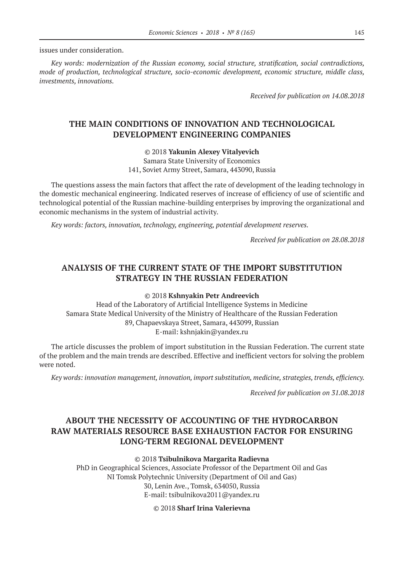issues under consideration.

*Key words: modernization of the Russian economy, social structure, stratification, social contradictions, mode of production, technological structure, socio-economic development, economic structure, middle class, investments, innovations.*

*Received for publication on 14.08.2018*

# **THE MAIN CONDITIONS OF INNOVATION AND TECHNOLOGICAL DEVELOPMENT ENGINEERING COMPANIES**

©© 2018 **Yakunin Alexey Vitalyevich**

Samara State University of Economics 141, Soviet Army Street, Samara, 443090, Russia

The questions assess the main factors that affect the rate of development of the leading technology in the domestic mechanical engineering. Indicated reserves of increase of efficiency of use of scientific and technological potential of the Russian machine-building enterprises by improving the organizational and economic mechanisms in the system of industrial activity.

*Key words: factors, innovation, technology, engineering, potential development reserves.*

*Received for publication on 28.08.2018*

# **ANALYSIS OF THE CURRENT STATE OF THE IMPORT SUBSTITUTION STRATEGY IN THE RUSSIAN FEDERATION**

#### ©© 2018 **Kshnyakin Petr Andreevich**

Head of the Laboratory of Artificial Intelligence Systems in Medicine Samara State Medical University of the Ministry of Healthcare of the Russian Federation 89, Chapaevskaya Street, Samara, 443099, Russian E‑mail: kshnjakin@yandex.ru

Тhe article discusses the problem of import substitution in the Russian Federation. The current state of the problem and the main trends are described. Effective and inefficient vectors for solving the problem were noted.

*Key words: innovation management, innovation, import substitution, medicine, strategies, trends, efficiency.*

*Received for publication on 31.08.2018*

# **ABOUT THE NECESSITY OF ACCOUNTING OF THE HYDROCARBON RAW MATERIALS RESOURCE BASE EXHAUSTION FACTOR FOR ENSURING LONG-TERM REGIONAL DEVELOPMENT**

#### ©© 2018 **Tsibulnikova Margarita Radievna**

PhD in Geographical Sciences, Associate Professor of the Department Oil and Gas NI Tomsk Polytechnic University (Department of Oil and Gas) 30, Lenin Ave., Tomsk, 634050, Russia E‑mail: tsibulnikova2011@yandex.ru

#### ©© 2018 **Sharf Irina Valerievna**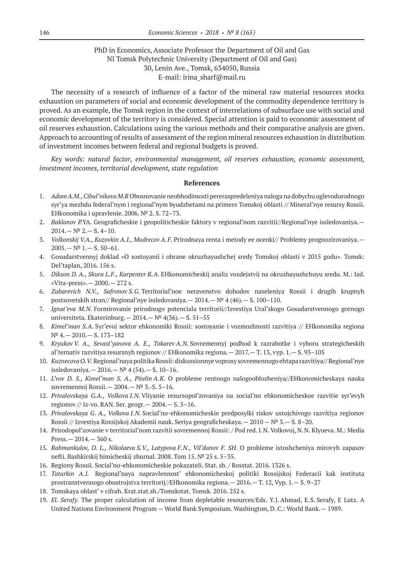## PhD in Economics, Associate Professor the Department of Oil and Gas NI Tomsk Polytechnic University (Department of Oil and Gas) 30, Lenin Ave., Tomsk, 634050, Russia E-mail: irina\_sharf@mail.ru

The necessity of a research of influence of a factor of the mineral raw material resources stocks exhaustion on parameters of social and economic development of the commodity dependence territory is proved. As an example, the Tomsk region in the context of interrelations of subsurface use with social and economic development of the territory is considered. Special attention is paid to economic assessment of oil reserves exhaustion. Calculations using the various methods and their comparative analysis are given. Approach to accounting of results of assessment of the region mineral resources exhaustion in distribution of investment incomes between federal and regional budgets is proved.

*Key words: natural factor, environmental management, oil reserves exhaustion, economic assessment, investment incomes, territorial development, state regulation*

- 1. *Adam A.M., Cibul'nikova M.R* Obosnovanie neobhodimosti pereraspredeleniya naloga na dobychu uglevodorodnogo syr'ya mezhdu federal'nym i regional'nym byudzhetami na primere Tomskoj oblasti // Mineral'nye resursy Rossii. EHkonomika i upravlenie. 2006. № 2. S. 72–73.
- 2. *Baklanov P.*YA. Geograficheskie i geopoliticheskie faktory v regional'nom razvitii//Regional'nye issledovaniya.—  $2014. - N^{\circ} 2. - S. 4 - 10.$
- 3. *Volkonskij V.A., Kuzovkin A.I., Mudrecov A.F.* Prirodnaya renta i metody ee ocenki// Problemy prognozirovaniya.—  $2005 - N^{\circ}$  1. - S. 50-61.
- 4. Gosudarstvennyj doklad «O sostoyanii i ohrane okruzhayushchej sredy Tomskoj oblasti v 2015 godu». Tomsk: Del'taplan, 2016. 156 s.
- 5. *Dikson D. A., Skura L.F., Karpenter R.A.* EHkonomicheskij analiz vozdejstvij na okruzhayushchuyu sredu. M.: Izd. «Vita-press».— 2000.— 272 s.
- 6. *Zubarevich N.V., Safronov S.G.* Territorial'noe neravenstvo dohodov naseleniya Rossii i drugih krupnyh postsovetskih stran// Regional'nye issledovaniya. —  $2014$ . —  $N^2$  4 (46). — S. 100–110.
- 7. *Ignat'eva M.N.* Formirovanie prirodnogo potenciala territorii//Izvestiya Ural'skogo Gosudarstvennogo gornogo universiteta. Ekaterinburg. —  $2014.$   $-N<sup>°</sup> 4(36).$   $-S. 51-55$
- 8. *Kimel'man S.A.* Syr'evoj sektor ehkonomiki Rossii: sostoyanie i vozmozhnosti razvitiya // EHkonomika regiona № 4.— 2010.— S. 173–182
- 9. *Kryukov V. A., Sevast'yanova A. E., Tokarev A.N.* Sovremennyj podhod k razrabotke i vyboru strategicheskih al'ternativ razvitiya resursnyh regionov // EHkonomika regiona.— 2017.— T. 13, vyp. 1.— S. 93–105
- 10. *Kuznecova O.V.* Regional'naya politika Rossii: diskussionnye voprosy sovremennogo ehtapa razvitiya// Regional'nye issledovaniya.— 2016.— № 4 (54).— S. 10–16.
- 11. *L'vov D. S., Kimel'man S. A., Pitelin A.K.* O probleme rentnogo nalogooblozheniya//EHkonomicheskaya nauka sovremennoj Rossii.— 2004.— № 3.-S. 5–16.
- 12. *Privalovskaya G.A., Volkova I.N.* Vliyanie resursopol'zovaniya na social'no ehkonomicheskoe razvitie syr'evyh regionov // Iz-vo. RAN. Ser. geogr.— 2004.— S. 5–16.
- 13. *Privalovskaya G. A., Volkova I.N.* Social'no-ehkonomicheskie predposylki riskov ustojchivogo razvitiya regionov Rossii // Izvestiya Rossijskoj Akademii nauk. Seriya geograficheskaya.— 2010 —№ 3.— S. 8–20.
- 14. Prirodopol'zovanie v territorial'nom razvitii sovremennoj Rossii: / Pod red. I.N. Volkovoj, N.N. Klyueva. M.: Media Press.— 2014.— 360 s.
- 15. *Rahmankulov, D. L., Nikolaeva S.V., Latypova F.N., Vil'danov F. SH*. O probleme istoshcheniya mirovyh zapasov nefti. Bashkirskij himicheskij zhurnal. 2008. Tom 15. № 25 s. 5–35.
- 16. Regiony Rossii. Social'no-ehkonomicheskie pokazateli. Stat. sb. / Rosstat. 2016. 1326 s.
- 17. *Tatarkin A.I.* Regional'naya napravlennost' ehkonomicheskoj politiki Rossijskoj Federacii kak instituta prostranstvennogo obustrojstva territorij//EHkonomika regiona.— 2016.— T. 12, Vyp. 1.— S. 9–27
- 18. Tomskaya oblast' v cifrah. Krat.stat.sb./Tomskstat. Tomsk. 2016. 252 s.
- 19. *El. Serafy*. The proper calculation of income from depletable resources/Eds. Y.J. Ahmad, E.S. Serafy, E Lutz. A United Nations Environment Program — World Bank Symposium. Washington, D. C.: World Bank.— 1989.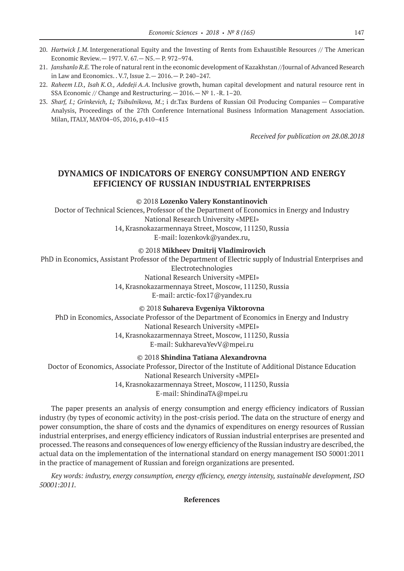- 20. *Hartwick J.M.* Intergenerational Equity and the Investing of Rents from Exhaustible Resources // The American Economic Review.— 1977. V. 67.— N5.— P. 972–974.
- 21. *Janshanlo R.E.* The role of natural rent in the economic development of Kazakhstan //Journal of Advanced Research in Law and Economics. . V.7, Issue 2.— 2016.— P. 240–247.
- 22. *Raheem I.D., Isah K.O., Adedeji A.A.* Inclusive growth, human capital development and natural resource rent in SSA Economic // Change and Restructuring.  $- 2016. - N^{\circ} 1. -R. 1-20.$
- 23. *Sharf, I.; Grinkevich, L; Tsibulnikova, M*.; i dr.Tax Burdens of Russian Oil Producing Companies Comparative Analysis, Proceedings of the 27th Conference International Business Information Management Association. Milan, ITALY, MAY04–05, 2016, p.410–415

*Received for publication on 28.08.2018*

## **DYNAMICS OF INDICATORS OF ENERGY CONSUMPTION AND ENERGY EFFICIENCY OF RUSSIAN INDUSTRIAL ENTERPRISES**

©© 2018 **Lozenko Valery Konstantinovich**

Doctor of Technical Sciences, Professor of the Department of Economics in Energy and Industry National Research University «MPEI» 14, Krasnokazarmennaya Street, Moscow, 111250, Russia

E‑mail: lozenkovk@yandex.ru,

©© 2018 **Mikheev Dmitrij Vladimirovich**

PhD in Economics, Assistant Professor of the Department of Electric supply of Industrial Enterprises and Electrotechnologies

National Research University «MPEI»

14, Krasnokazarmennaya Street, Moscow, 111250, Russia

E‑mail: arctic-fox17@yandex.ru

©© 2018 **Suhareva Evgeniya Viktorovna**

PhD in Economics, Associate Professor of the Department of Economics in Energy and Industry National Research University «MPEI» 14, Krasnokazarmennaya Street, Moscow, 111250, Russia E‑mail: SukharevaYevV@mpei.ru

©© 2018 **Shindina Tatiana Alexandrovna**

Doctor of Economics, Associate Professor, Director of the Institute of Additional Distance Education National Research University «MPEI» 14, Krasnokazarmennaya Street, Moscow, 111250, Russia E‑mail: ShindinaTA@mpei.ru

The paper presents an analysis of energy consumption and energy efficiency indicators of Russian industry (by types of economic activity) in the post-crisis period. The data on the structure of energy and power consumption, the share of costs and the dynamics of expenditures on energy resources of Russian industrial enterprises, and energy efficiency indicators of Russian industrial enterprises are presented and processed. The reasons and consequences of low energy efficiency of the Russian industry are described, the actual data on the implementation of the international standard on energy management ISO 50001:2011 in the practice of management of Russian and foreign organizations are presented.

*Key words: industry, energy consumption, energy efficiency, energy intensity, sustainable development, ISO 50001:2011.*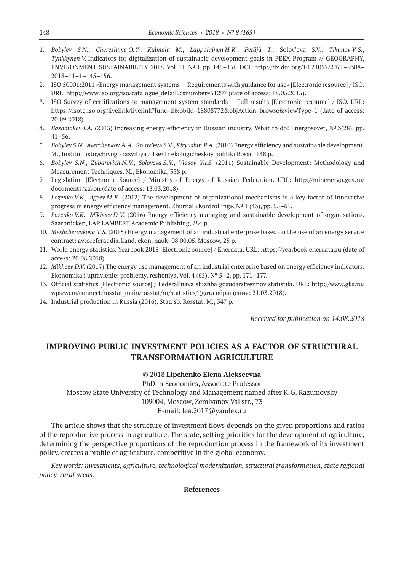- 1. *Bobylev S.N., Chereshnya O.Y., Kulmala M., Lappalainen H.K., Petäjä T.,* Solov'eva S.V., *Tikunov V.S., Tynkkynen V.* Indicators for digitalization of sustainable development goals in PEEX Program // GEOGRAPHY, ENVIRONMENT, SUSTAINABILITY. 2018. Vol. 11. № 1. pp. 145–156. DOI: http://dx.doi.org/10.24057/2071–9388– 2018–11–1–145–156.
- 2. ISO 50001:2011 «Energy management systems Requirements with guidance for use» [Electronic resource] / ISO. URL: http://www.iso.org/iso/catalogue\_detail?csnumber=51297 (date of access: 18.05.2015).
- 3. ISO Survey of certifications to management system standards Full results [Electronic resource] / ISO. URL: https://isotc.iso.org/livelink/livelink?func=ll&objId=18808772&objAction=browse&viewType=1 (date of access: 20.09.2018).
- 4. *Bashmakov I.A.* (2013) Increasing energy efficiency in Russian industry. What to do! Energosovet, № 3(28), pp. 41–56.
- 5. *Bobylev S.N., Averchenkov A.A.,* Solov'eva S.V., *Kiryushin P.A.* (2010) Energy efficiency and sustainable development. M., Institut ustoychivogo razvitiya / Tsentr ekologicheskoy politiki Rossii, 148 p.
- 6. *Bobylev S.N., Zubarevich N.V., Soloveva S.V., Vlasov Yu.S.* (2011) Sustainable Development: Methodology and Measurement Techniques. M., Ekonomika, 358 p.
- 7. Legislation [Electronic Source] / Ministry of Energy of Russian Federation. URL: http://minenergo.gov.ru/ documents/zakon (date of access: 13.03.2018).
- 8. *Lozenko V.K., Ageev M.K.* (2012) The development of organizational mechanisms is a key factor of innovative progress in energy efficiency management. Zhurnal «Kontrolling», Nº 1 (43), pp. 55-61.
- 9. *Lozenko V.K., Mikheev D.V.* (2016) Energy efficiency managing and sustainable development of organisations. Saarbrücken, LAP LAMBERT Academic Publishing, 284 p.
- 10. *Meshcheryakova Т.S.* (2015) Energy management of an industrial enterprise based on the use of an energy service contract: avtoreferat dis. kand. ekon. nauk: 08.00.05. Moscow, 25 p.
- 11. World energy statistics. Yearbook 2018 [Electronic source] / Enerdata. URL: https://yearbook.enerdata.ru (date of access: 20.08.2018).
- 12. *Mikheev D.V.* (2017) The energy use management of an industrial enterprise based on energy efficiency indicators. Ekonomika i upravlenie: problemy, resheniya, Vol. 4 (65), № 5–2. pp. 171–177.
- 13. Official statistics [Electronic source] / Federal'naya sluzhba gosudarstvennoy statistiki. URL: http://www.gks.ru/ wps/wcm/connect/rosstat\_main/rosstat/ru/statistics/ (дата обращения: 21.03.2018).
- 14. Industrial production in Russia (2016). Stat. sb. Rosstat. M., 347 p.

*Received for publication on 14.08.2018*

# **IMPROVING PUBLIC INVESTMENT POLICIES AS A FACTOR OF STRUCTURAL TRANSFORMATION AGRICULTURE**

#### ©© 2018 **Lipchenko Elena Alekseevna**

PhD in Economics, Associate Professor Moscow State University of Technology and Management named after K.G. Razumovsky 109004, Moscow, Zemlyanoy Val str., 73 E‑mail: lea.2017@yandex.ru

The article shows that the structure of investment flows depends on the given proportions and ratios of the reproductive process in agriculture. The state, setting priorities for the development of agriculture, determining the perspective proportions of the reproduction process in the framework of its investment policy, creates a profile of agriculture, competitive in the global economy.

*Key words: investments, agriculture, technological modernization, structural transformation, state regional policy, rural areas.*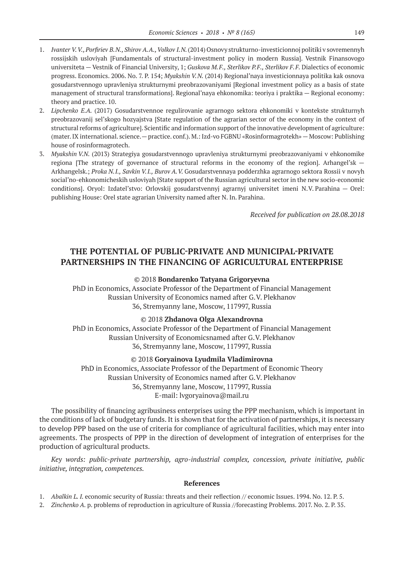- 1. *Ivanter V. V., Porfiriev B.N., Shirov A.A., Volkov I.N.* (2014) Osnovy strukturno-investicionnoj politiki v sovremennyh rossijskih usloviyah [Fundamentals of structural-investment policy in modern Russia]. Vestnik Finansovogo universiteta — Vestnik of Financial University, 1; *Guskova M.F., Sterlikov P.F., Sterlikov F.F.* Dialectics of economic progress. Economics. 2006. No. 7. P. 154; *Myakshin V.N.* (2014) Regional'naya investicionnaya politika kak osnova gosudarstvennogo upravleniya strukturnymi preobrazovaniyami [Regional investment policy as a basis of state management of structural transformations]. Regional'naya ehkonomika: teoriya i praktika — Regional economy: theory and practice. 10.
- 2. *Lipchenko E.A.* (2017) Gosudarstvennoe regulirovanie agrarnogo sektora ehkonomiki v kontekste strukturnyh preobrazovanij sel'skogo hozyajstva [State regulation of the agrarian sector of the economy in the context of structural reforms of agriculture]. Scientific and information support of the innovative development of agriculture: (mater. IX international. science.—practice. conf.). M.: Izd-vo FGBNU «Rosinformagrotekh»—Moscow: Publishing house of rosinformagrotech.
- 3. *Myakshin V.N.* (2013) Strategiya gosudarstvennogo upravleniya strukturnymi preobrazovaniyami v ehkonomike regiona [The strategy of governance of structural reforms in the economy of the region]. Arhangel'sk — Arkhangelsk.; *Proka N.I., Savkin V.I., Burov A.V.* Gosudarstvennaya podderzhka agrarnogo sektora Rossii v novyh social'no-ehkonomicheskih usloviyah [State support of the Russian agricultural sector in the new socio-economic conditions]. Oryol: Izdatel'stvo: Orlovskij gosudarstvennyj agrarnyj universitet imeni N.V. Parahina — Orel: publishing House: Orel state agrarian University named after N. In. Parahina.

*Received for publication on 28.08.2018*

## **THE POTENTIAL OF PUBLIC-PRIVATE AND MUNICIPAL-PRIVATE PARTNERSHIPS IN THE FINANCING OF AGRICULTURAL ENTERPRISE**

#### ©© 2018 **Bondarenko Tatyana Grigoryevna**

PhD in Economics, Associate Professor of the Department of Financial Management Russian University of Economics named after G.V. Plekhanov 36, Stremyanny lane, Moscow, 117997, Russia

#### ©© 2018 **Zhdanova Olga Alexandrovna**

PhD in Economics, Associate Professor of the Department of Financial Management Russian University of Economicsnamed after G.V. Plekhanov 36, Stremyanny lane, Moscow, 117997, Russia

#### ©© 2018 **Goryainova Lyudmila Vladimirovna**

PhD in Economics, Associate Professor of the Department of Economic Theory Russian University of Economics named after G.V. Plekhanov 36, Stremyanny lane, Moscow, 117997, Russia E-mail: lvgoryainova@mail.ru

The possibility of financing agribusiness enterprises using the PPP mechanism, which is important in the conditions of lack of budgetary funds. It is shown that for the activation of partnerships, it is necessary to develop PPP based on the use of criteria for compliance of agricultural facilities, which may enter into agreements. The prospects of PPP in the direction of development of integration of enterprises for the production of agricultural products.

*Key words: public-private partnership, agro-industrial complex, concession, private initiative, public initiative, integration, competences.*

- 1. *Abalkin L. I.* economic security of Russia: threats and their reflection // economic Issues. 1994. No. 12. P. 5.
- 2. *Zinchenko A.* p. problems of reproduction in agriculture of Russia //forecasting Problems. 2017. No. 2. P. 35.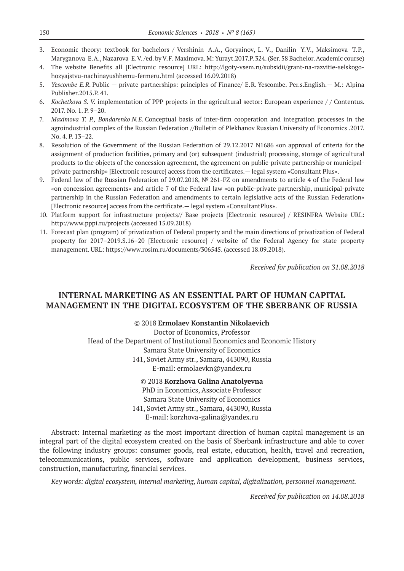- 3. Economic theory: textbook for bachelors / Vershinin A.A., Goryainov, L. V., Danilin Y.V., Maksimova T.P., Maryganova E.A., Nazarova E.V. /ed. by V.F. Maximova. M: Yurayt.2017.P. 324. (Ser. 58 Bachelor. Academic course)
- 4. The website Benefits all [Electronic resource] URL: http://lgoty-vsem.ru/subsidii/grant-na-razvitie-selskogohozyajstvu-nachinayushhemu-fermeru.html (accessed 16.09.2018)
- 5. *Yescombe E.R.* Public private partnerships: principles of Finance/ E.R. Yescombe. Per.s.English.— M.: Alpina Publisher.2015.P. 41.
- 6. *Kochetkova S. V.* implementation of PPP projects in the agricultural sector: European experience / / Contentus. 2017. No. 1. P. 9–20.
- 7. *Maximova T. P., Bondarenko N.E.* Conceptual basis of inter-firm cooperation and integration processes in the agroindustrial complex of the Russian Federation //Bulletin of Plekhanov Russian University of Economics .2017. No. 4. P. 13–22.
- 8. Resolution of the Government of the Russian Federation of 29.12.2017 N1686 «on approval of criteria for the assignment of production facilities, primary and (or) subsequent (industrial) processing, storage of agricultural products to the objects of the concession agreement, the agreement on public-private partnership or municipalprivate partnership» [Electronic resource] access from the certificates. - legal system «Consultant Plus».
- 9. Federal law of the Russian Federation of 29.07.2018, № 261-FZ on amendments to article 4 of the Federal law «on concession agreements» and article 7 of the Federal law «on public-private partnership, municipal-private partnership in the Russian Federation and amendments to certain legislative acts of the Russian Federation» [Electronic resource] access from the certificate.— legal system «ConsultantPlus».
- 10. Platform support for infrastructure projects// Base projects [Electronic resource] / RESINFRA Website URL: http://www.pppi.ru/projects (accessed 15.09.2018)
- 11. Forecast plan (program) of privatization of Federal property and the main directions of privatization of Federal property for 2017–2019.S.16–20 [Electronic resource] / website of the Federal Agency for state property management. URL: https://www.rosim.ru/documents/306545. (accessed 18.09.2018).

*Received for publication on 31.08.2018*

## **INTERNAL MARKETING AS AN ESSENTIAL PART OF HUMAN CAPITAL MANAGEMENT IN THE DIGITAL ECOSYSTEM OF THE SBERBANK OF RUSSIA**

©© 2018 **Ermolaev Konstantin Nikolaevich**

Doctor of Economics, Professor Head of the Department of Institutional Economics and Economic History Samara State University of Economics 141, Soviet Army str., Samara, 443090, Russia E‑mail: ermolaevkn@yandex.ru

> ©© 2018 **Korzhova Galina Anatolyevna** PhD in Economics, Associate Professor Samara State University of Economics 141, Soviet Army str., Samara, 443090, Russia E‑mail: korzhova-galina@yandex.ru

Abstract: Internal marketing as the most important direction of human capital management is an integral part of the digital ecosystem created on the basis of Sberbank infrastructure and able to cover the following industry groups: consumer goods, real estate, education, health, travel and recreation, telecommunications, public services, software and application development, business services, construction, manufacturing, financial services.

*Key words: digital ecosystem, internal marketing, human capital, digitalization, personnel management.*

*Received for publication on 14.08.2018*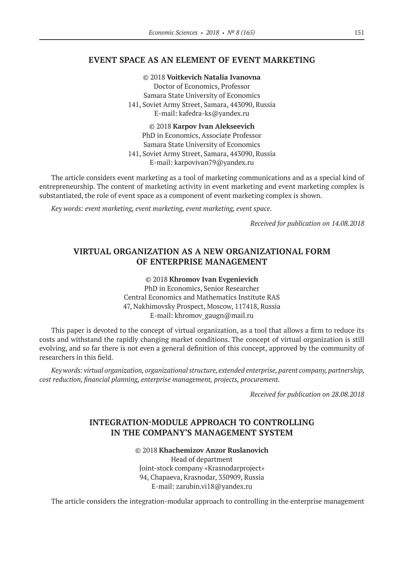## **EVENT SPACE AS AN ELEMENT OF EVENT MARKETING**

©© 2018 **Voitkevich Natalia Ivanovna** Doctor of Economics, Professor Samara State University of Economics 141, Soviet Army Street, Samara, 443090, Russia E‑mail: kafedra-ks@yandex.ru

©© 2018 **Karpov Ivan Alekseevich** PhD in Economics, Associate Professor Samara State University of Economics 141, Soviet Army Street, Samara, 443090, Russia E‑mail: karpovivan79@yandex.ru

The article considers event marketing as a tool of marketing communications and as a special kind of entrepreneurship. The content of marketing activity in event marketing and event marketing complex is substantiated, the role of event space as a component of event marketing complex is shown.

*Key words: event marketing, event marketing, event marketing, event space.*

*Received for publication on 14.08.2018*

## **VIRTUAL ORGANIZATION AS A NEW ORGANIZATIONAL FORM OF ENTERPRISE MANAGEMENT**

©© 2018 **Khromov Ivan Evgenievich** PhD in Economics, Senior Researcher Central Economics and Mathematics Institute RAS 47, Nakhimovsky Prospect, Moscow, 117418, Russia E‑mail: khromov\_gaugn@mail.ru

This paper is devoted to the concept of virtual organization, as a tool that allows a firm to reduce its costs and withstand the rapidly changing market conditions. The concept of virtual organization is still evolving, and so far there is not even a general definition of this concept, approved by the community of researchers in this field.

*Key words: virtual organization, organizational structure, extended enterprise, parent company, partnership, cost reduction, financial planning, enterprise management, projects, procurement.*

*Received for publication on 28.08.2018*

# **INTEGRATION-MODULE APPROACH TO CONTROLLING IN THE COMPANY'S MANAGEMENT SYSTEM**

©© 2018 **Khachemizov Anzor Ruslanovich** Head of department

Joint-stock company «Krasnodarproject» 94, Chapaeva, Krasnodar, 350909, Russia E‑mail: zarubin.vi18@yandex.ru

The article considers the integration-modular approach to controlling in the enterprise management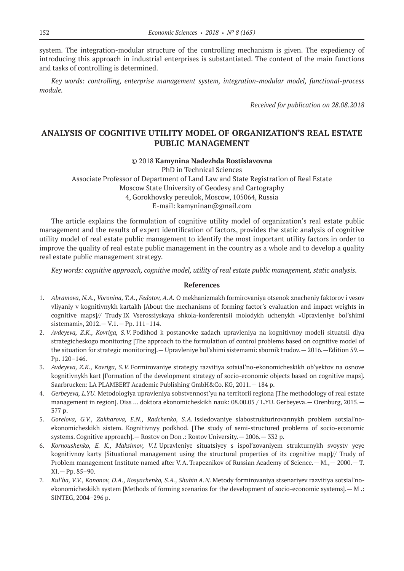system. The integration-modular structure of the controlling mechanism is given. The expediency of introducing this approach in industrial enterprises is substantiated. The content of the main functions and tasks of controlling is determined.

*Key words: controlling, enterprise management system, integration-modular model, functional-process module.*

*Received for publication on 28.08.2018*

# **ANALYSIS OF COGNITIVE UTILITY MODEL OF ORGANIZATION'S REAL ESTATE PUBLIC MANAGEMENT**

#### ©© 2018 **Kamynina Nadezhda Rostislavovna**

PhD in Technical Sciences Associate Professor of Department of Land Law and State Registration of Real Estate Moscow State University of Geodesy and Cartography 4, Gorokhovsky pereulok, Moscow, 105064, Russia Е‑mail: kamyninan@gmail.com

The article explains the formulation of cognitive utility model of organization's real estate public management and the results of expert identification of factors, provides the static analysis of cognitive utility model of real estate public management to identify the most important utility factors in order to improve the quality of real estate public management in the country as a whole and to develop a quality real estate public management strategy.

*Key words: cognitive approach, cognitive model, utility of real estate public management, static analysis.*

- 1. *Abramova, N.A., Voronina, T.A., Fedotov, A.A.* O mekhanizmakh formirovaniya otsenok znacheniy faktorov i vesov vliyaniy v kognitivnykh kartakh [About the mechanisms of forming factor's evaluation and impact weights in cognitive maps]// Trudy IХ Vserossiyskaya shkola-konferentsii molodykh uchenykh «Upravleniye bol'shimi sistemami», 2012.— V.1.— Рр. 111–114.
- 2. *Avdeyeva, Z.K., Kovriga, S.V.* Podkhod k postanovke zadach upravleniya na kognitivnoy modeli situatsii dlya strategicheskogo monitoring [The approach to the formulation of control problems based on cognitive model of the situation for strategic monitoring].— Upravleniye bol'shimi sistemami: sbornik trudov.— 2016.—Edition 59.— Рр. 120–146.
- 3. *Avdeyeva, Z.K., Kovriga, S.V.* Formirovaniye strategiy razvitiya sotsial'no-ekonomicheskikh ob'yektov na osnove kognitivnykh kart [Formation of the development strategy of socio-economic objects based on cognitive maps]. Saarbrucken: LA PLAMBERT Academic Publishing GmbH&Co. KG, 2011.— 184 p.
- 4. *Gerbeyeva, L.YU.* Metodologiya upravleniya sobstvennost'yu na territorii regiona [The methodology of real estate management in region]. Diss ... doktora ekonomicheskikh nauk: 08.00.05 / L.YU. Gerbeyeva. - Orenburg, 2015. -377 p.
- 5. *Gorelova, G.V., Zakharova, Е.N., Radchenko, S.A.* Issledovaniye slabostrukturirovannykh problem sotsial'noekonomicheskikh sistem. Kognitivnyy podkhod. [The study of semi-structured problems of socio-economic systems. Cognitive approach].— Rostov on Don .: Rostov University.— 2006.— 332 p.
- 6. *Kornoushenko, Е. K., Maksimov, V.I.* Upravleniye situatsiyey s ispol'zovaniyem strukturnykh svoystv yeye kognitivnoy karty [Situational management using the structural properties of its cognitive map]// Trudy of Problem management Institute named after V.A. Trapeznikov of Russian Academy of Science.— M.,— 2000.— T. XI.— Pp. 85–90.
- 7. *Kul'ba, V.V., Kononov, D.A., Kosyachenko, S.A., Shubin A.N.* Metody formirovaniya stsenariyev razvitiya sotsial'noekonomicheskikh system [Methods of forming scenarios for the development of socio-economic systems].— M .: SINTEG, 2004–296 p.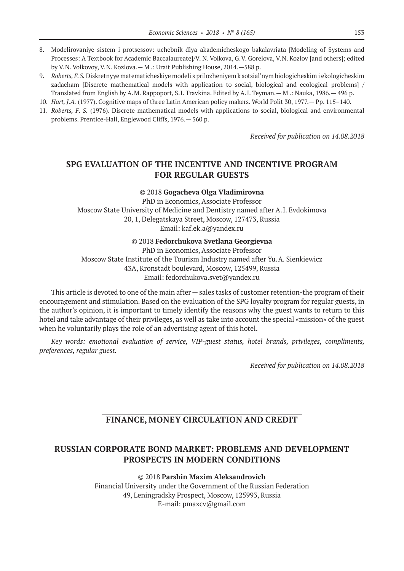- 8. Modelirovaniye sistem i protsessov: uchebnik dlya akademicheskogo bakalavriata [Modeling of Systems and Processes: A Textbook for Academic Baccalaureate]/V. N. Volkova, G.V. Gorelova, V.N. Kozlov [and others]; edited by V.N. Volkovoy, V.N. Kozlova.— M .: Urait Publishing House, 2014.—588 p.
- 9. *Roberts, F.S.* Diskretnyye matematicheskiye modeli s prilozheniyem k sotsial'nym biologicheskim i ekologicheskim zadacham [Discrete mathematical models with application to social, biological and ecological problems] / Translated from English by A.M. Rappoport, S.I. Travkina. Edited by A.I. Teyman.— M .: Nauka, 1986.— 496 p.
- 10. *Hart, J.A.* (1977). Cognitive maps of three Latin American policy makers. World Polit 30, 1977.— Pp. 115–140.
- 11. *Roberts, F. S.* (1976). Discrete mathematical models with applications to social, biological and environmental problems. Prentice-Hall, Englewood Cliffs, 1976.— 560 p.

*Received for publication on 14.08.2018*

## **SPG EVALUATION OF THE INCENTIVE AND INCENTIVE PROGRAM FOR REGULAR GUESTS**

©© 2018 **Gogacheva Olga Vladimirovna**

PhD in Economics, Associate Professor Moscow State University of Medicine and Dentistry named after A.I. Evdokimova 20, 1, Delegatskaya Street, Moscow, 127473, Russia Email: kaf.ek.a@yandex.ru

©© 2018 **Fedorchukova Svetlana Georgievna**

PhD in Economics, Associate Professor Moscow State Institute of the Tourism Industry named after Yu.A. Sienkiewicz 43A, Kronstadt boulevard, Moscow, 125499, Russia Email: fedorchukova.svet@yandex.ru

This article is devoted to one of the main after — sales tasks of customer retention-the program of their encouragement and stimulation. Based on the evaluation of the SPG loyalty program for regular guests, in the author's opinion, it is important to timely identify the reasons why the guest wants to return to this hotel and take advantage of their privileges, as well as take into account the special «mission» of the guest when he voluntarily plays the role of an advertising agent of this hotel.

*Key words: emotional evaluation of service, VIP-guest status, hotel brands, privileges, compliments, preferences, regular guest.*

*Received for publication on 14.08.2018*

# **FINANCE, MONEY CIRCULATION AND CREDIT**

## **RUSSIAN CORPORATE BOND MARKET: PROBLEMS AND DEVELOPMENT PROSPECTS IN MODERN CONDITIONS**

©© 2018 **Parshin Maxim Aleksandrovich** Financial University under the Government of the Russian Federation 49, Leningradsky Prospect, Moscow, 125993, Russia E-mail: pmaxcv@gmail.com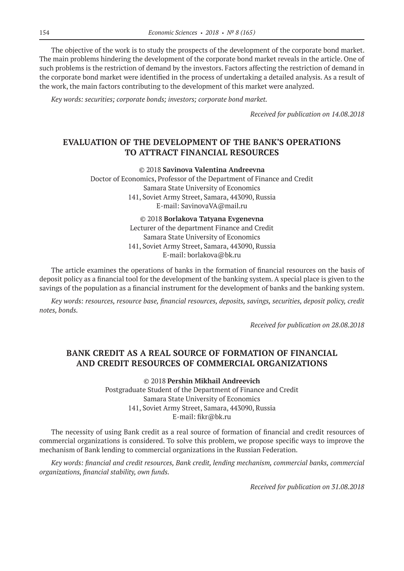The objective of the work is to study the prospects of the development of the corporate bond market. The main problems hindering the development of the corporate bond market reveals in the article. One of such problems is the restriction of demand by the investors. Factors affecting the restriction of demand in the corporate bond market were identified in the process of undertaking a detailed analysis. As a result of the work, the main factors contributing to the development of this market were analyzed.

*Key words: securities; corporate bonds; investors; corporate bond market.*

*Received for publication on 14.08.2018*

## **EVALUATION OF THE DEVELOPMENT OF THE BANK'S OPERATIONS TO ATTRACT FINANCIAL RESOURCES**

©© 2018 **Savinova Valentina Andreevna**

Doctor of Economics, Professor of the Department of Finance and Credit Samara State University of Economics 141, Soviet Army Street, Samara, 443090, Russia E‑mail: SavinovaVA@mail.ru

> ©© 2018 **Borlakova Tatyana Evgenevna** Lecturer of the department Finance and Credit Samara State University of Economics 141, Soviet Army Street, Samara, 443090, Russia E‑mail: borlakova@bk.ru

The article examines the operations of banks in the formation of financial resources on the basis of deposit policy as a financial tool for the development of the banking system. A special place is given to the savings of the population as a financial instrument for the development of banks and the banking system.

*Key words: resources, resource base, financial resources, deposits, savings, securities, deposit policy, credit notes, bonds.*

*Received for publication on 28.08.2018*

# **BANK CREDIT AS A REAL SOURCE OF FORMATION OF FINANCIAL AND CREDIT RESOURCES OF COMMERCIAL ORGANIZATIONS**

©© 2018 **Pershin Mikhail Andreevich** Postgraduate Student of the Department of Finance and Credit Samara State University of Economics 141, Soviet Army Street, Samara, 443090, Russia Е‑mail: fikr@bk.ru

The necessity of using Bank credit as a real source of formation of financial and credit resources of commercial organizations is considered. To solve this problem, we propose specific ways to improve the mechanism of Bank lending to commercial organizations in the Russian Federation.

*Key words: financial and credit resources, Bank credit, lending mechanism, commercial banks, commercial organizations, financial stability, own funds.*

*Received for publication on 31.08.2018*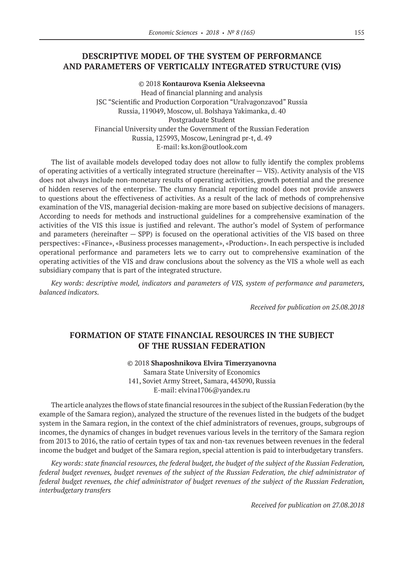# **DESCRIPTIVE MODEL OF THE SYSTEM OF PERFORMANCE AND PARAMETERS OF VERTICALLY INTEGRATED STRUCTURE (VIS)**

©© 2018 **Kontaurova Ksenia Alekseevna** Head of financial planning and analysis JSC "Scientific and Рroduction Corporation "Uralvagonzavod" Russia Russia, 119049, Moscow, ul. Bolshaya Yakimanka, d. 40 Postgraduate Student Financial University under the Government of the Russian Federation Russia, 125993, Moscow, Leningrad pr‑t, d. 49 E‑mail: ks.kon@outlook.com

The list of available models developed today does not allow to fully identify the complex problems of operating activities of a vertically integrated structure (hereinafter — VIS). Activity analysis of the VIS does not always include non-monetary results of operating activities, growth potential and the presence of hidden reserves of the enterprise. The clumsy financial reporting model does not provide answers to questions about the effectiveness of activities. As a result of the lack of methods of comprehensive examination of the VIS, managerial decision-making are more based on subjective decisions of managers. According to needs for methods and instructional guidelines for a comprehensive examination of the activities of the VIS this issue is justified and relevant. The author's model of System of performance and parameters (hereinafter  $-$  SPP) is focused on the operational activities of the VIS based on three perspectives: «Finance», «Business processes management», «Production». In each perspective is included operational performance and parameters lets we to carry out to comprehensive examination of the operating activities of the VIS and draw conclusions about the solvency as the VIS a whole well as each subsidiary company that is part of the integrated structure.

*Key words: descriptive model, indicators and parameters of VIS, system of performance and parameters, balanced indicators.*

*Received for publication on 25.08.2018*

## **FORMATION OF STATE FINANCIAL RESOURCES IN THE SUBJECT OF THE RUSSIAN FEDERATION**

©© 2018 **Shaposhnikova Elvira Timerzyanovna** Samara State University of Economics 141, Soviet Army Street, Samara, 443090, Russia E‑mail: elvina1706@yandex.ru

The article analyzes the flows of state financial resources in the subject of the Russian Federation (by the example of the Samara region), analyzed the structure of the revenues listed in the budgets of the budget system in the Samara region, in the context of the chief administrators of revenues, groups, subgroups of incomes, the dynamics of changes in budget revenues various levels in the territory of the Samara region from 2013 to 2016, the ratio of certain types of tax and non-tax revenues between revenues in the federal income the budget and budget of the Samara region, special attention is paid to interbudgetary transfers.

*Key words: state financial resources, the federal budget, the budget of the subject of the Russian Federation, federal budget revenues, budget revenues of the subject of the Russian Federation, the chief administrator of federal budget revenues, the chief administrator of budget revenues of the subject of the Russian Federation, interbudgetary transfers*

*Received for publication on 27.08.2018*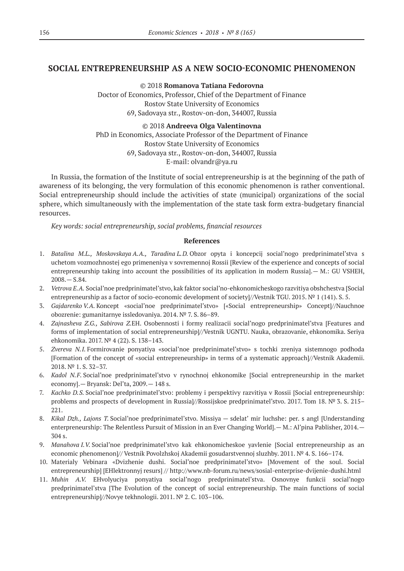## **SOCIAL ENTREPRENEURSHIP AS A NEW SOCIO-ECONOMIC PHENOMENON**

©© 2018 **Romanova Tatiana Fedorovna** Doctor of Economics, Professor, Chief of the Department of Finance Rostov State University of Economics 69, Sadovaya str., Rostov-on-don, 344007, Russia

©© 2018 **Andreeva Olga Valentinovna** PhD in Economics, Associate Professor of the Department of Finance Rostov State University of Economics 69, Sadovaya str., Rostov-on-don, 344007, Russia E‑mail: olvandr@ya.ru

In Russia, the formation of the Institute of social entrepreneurship is at the beginning of the path of awareness of its belonging, the very formulation of this economic phenomenon is rather conventional. Social entrepreneurship should include the activities of state (municipal) organizations of the social sphere, which simultaneously with the implementation of the state task form extra-budgetary financial resources.

*Key words: social entrepreneurship, social problems, financial resources*

- 1. *Batalina M.L., Moskovskaya A.A., Taradina L.D.* Obzor opyta i koncepcij social'nogo predprinimatel'stva s uchetom vozmozhnostej ego primeneniya v sovremennoj Rossii [Review of the experience and concepts of social entrepreneurship taking into account the possibilities of its application in modern Russia].— M.: GU VSHEH, 2008.— S.84.
- 2. *Vetrova E.A.* Social'noe predprinimatel'stvo, kak faktor social'no-ehkonomicheskogo razvitiya obshchestva [Social entrepreneurship as a factor of socio-economic development of society]//Vestnik TGU. 2015. Nº 1 (141). S. 5.
- 3. *Gajdarenko V.A.* Koncept «social'noe predprinimatel'stvo» [«Social entrepreneurship» Concept]//Nauchnoe obozrenie: gumanitarnye issledovaniya. 2014. № 7. S. 86–89.
- 4. *Zajnasheva Z.G., Sabirova Z.*EH. Osobennosti i formy realizacii social'nogo predprinimatel'stva [Features and forms of implementation of social entrepreneurship]//Vestnik UGNTU. Nauka, obrazovanie, ehkonomika. Seriya ehkonomika. 2017. № 4 (22). S. 138–143.
- 5. *Zvereva N.I.* Formirovanie ponyatiya «social'noe predprinimatel'stvo» s tochki zreniya sistemnogo podhoda [Formation of the concept of «social entrepreneurship» in terms of a systematic approach]//Vestnik Akademii. 2018. № 1. S. 32–37.
- 6. *Kadol N.F.* Social'noe predprinimatel'stvo v rynochnoj ehkonomike [Social entrepreneurship in the market economy].— Bryansk: Del'ta, 2009.— 148 s.
- 7. *Kachko D.S.* Social'noe predprinimatel'stvo: problemy i perspektivy razvitiya v Rossii [Social entrepreneurship: problems and prospects of development in Russia]//Rossijskoe predprinimatel'stvo. 2017. Tom 18. № 3. S. 215– 221.
- 8. *Kikal Dzh., Lajons T.* Social'noe predprinimatel'stvo. Missiya sdelat' mir luchshe: per. s angl [Understanding enterpreneurship: The Relentless Pursuit of Mission in an Ever Changing World].— M.: Al'pina Pablisher, 2014.—  $304 s$
- 9. *Manahova I.V.* Social'noe predprinimatel'stvo kak ehkonomicheskoe yavlenie [Social entrepreneurship as an economic phenomenon]// Vestnik Povolzhskoj Akademii gosudarstvennoj sluzhby. 2011. № 4. S. 166–174.
- 10. Materialy Vebinara «Dvizhenie dushi. Social'noe predprinimatel'stvo» [Movement of the soul. Social entrepreneurship] [EHlektronnyj resurs] // http://www.nb-forum.ru/news/sosial-enterprise-dvijenie-dushi.html
- 11. *Muhin A.V.* EHvolyuciya ponyatiya social'nogo predprinimatel'stva. Osnovnye funkcii social'nogo predprinimatel'stva [The Evolution of the concept of social entrepreneurship. The main functions of social entrepreneurship]//Novye tekhnologii. 2011. № 2. C. 103–106.